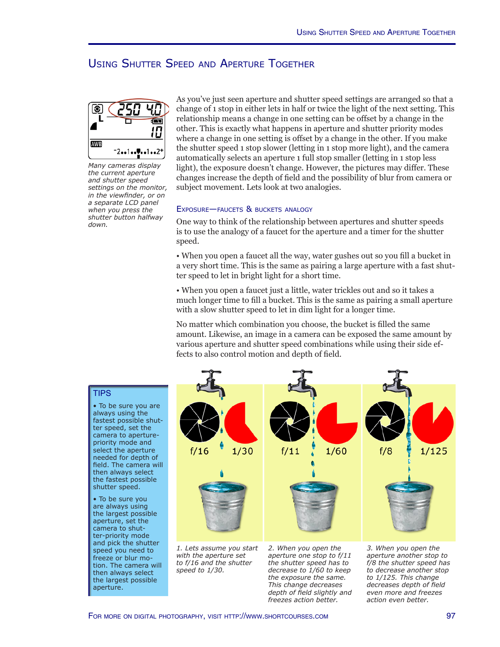## Using Shutter Speed and Aperture Together



*Many cameras display the current aperture and shutter speed settings on the monitor, in the viewfinder, or on a separate LCD panel when you press the shutter button halfway down.*

As you've just seen aperture and shutter speed settings are arranged so that a change of 1 stop in either lets in half or twice the light of the next setting. This relationship means a change in one setting can be offset by a change in the other. This is exactly what happens in aperture and shutter priority modes where a change in one setting is offset by a change in the other. If you make the shutter speed 1 stop slower (letting in 1 stop more light), and the camera automatically selects an aperture 1 full stop smaller (letting in 1 stop less light), the exposure doesn't change. However, the pictures may differ. These changes increase the depth of field and the possibility of blur from camera or subject movement. Lets look at two analogies.

#### Exposure—faucets & buckets analogy

One way to think of the relationship between apertures and shutter speeds is to use the analogy of a faucet for the aperture and a timer for the shutter speed.

• When you open a faucet all the way, water gushes out so you fill a bucket in a very short time. This is the same as pairing a large aperture with a fast shutter speed to let in bright light for a short time.

• When you open a faucet just a little, water trickles out and so it takes a much longer time to fill a bucket. This is the same as pairing a small aperture with a slow shutter speed to let in dim light for a longer time.

No matter which combination you choose, the bucket is filled the same amount. Likewise, an image in a camera can be exposed the same amount by various aperture and shutter speed combinations while using their side effects to also control motion and depth of field.

### **TIPS**

• To be sure you are always using the fastest possible shutter speed, set the camera to aperturepriority mode and select the aperture needed for depth of field. The camera will then always select the fastest possible shutter speed.

• To be sure you are always using the largest possible aperture, set the camera to shutter-priority mode and pick the shutter speed you need to freeze or blur motion. The camera will then always select the largest possible aperture.



*1. Lets assume you start with the aperture set to f/16 and the shutter speed to 1/30.*

*2. When you open the aperture one stop to f/11 the shutter speed has to decrease to 1/60 to keep the exposure the same. This change decreases depth of field slightly and freezes action better.*

*3. When you open the aperture another stop to f/8 the shutter speed has to decrease another stop to 1/125. This change decreases depth of field even more and freezes action even better.*